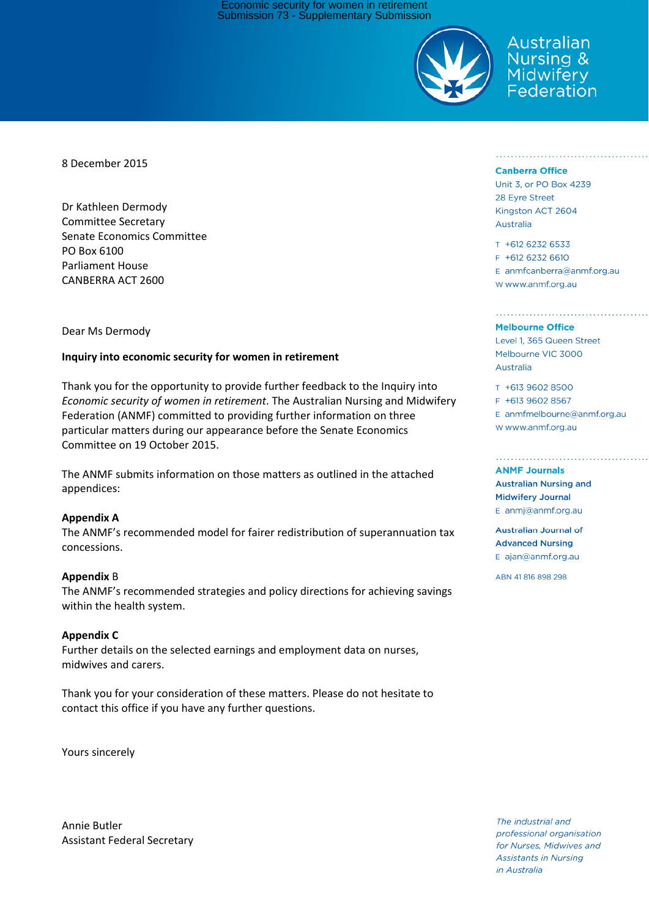Economic security for women in retirement Submission 73 - Supplementary Submission



Australian Nursing & Midwifery Federation

8 December 2015

Dr Kathleen Dermody Committee Secretary Senate Economics Committee PO Box 6100 Parliament House CANBERRA ACT 2600

### Dear Ms Dermody

### **Inquiry into economic security for women in retirement**

Thank you for the opportunity to provide further feedback to the Inquiry into *Economic security of women in retirement*. The Australian Nursing and Midwifery Federation (ANMF) committed to providing further information on three particular matters during our appearance before the Senate Economics Committee on 19 October 2015.

The ANMF submits information on those matters as outlined in the attached appendices:

#### **Appendix A**

The ANMF's recommended model for fairer redistribution of superannuation tax concessions.

#### **Appendix** B

The ANMF's recommended strategies and policy directions for achieving savings within the health system.

#### **Appendix C**

Further details on the selected earnings and employment data on nurses, midwives and carers.

Thank you for your consideration of these matters. Please do not hesitate to contact this office if you have any further questions.

Yours sincerely

Annie Butler Assistant Federal Secretary

#### **Canberra Office**

Unit 3, or PO Box 4239 28 Eyre Street Kingston ACT 2604 Australia

T +612 6232 6533 F +612 6232 6610 E anmfcanberra@anmf.org.au W www.anmf.org.au

#### **Melbourne Office**

Level 1, 365 Queen Street Melbourne VIC 3000 Australia

T +613 9602 8500 F +613 9602 8567 E anmfmelbourne@anmf.org.au W www.anmf.org.au

#### **ANMF Journals**

**Australian Nursing and Midwifery Journal** E anmj@anmf.org.au

**Australian Journal of Advanced Nursing** E ajan@anmf.org.au

ABN 41816898298

The industrial and professional organisation for Nurses, Midwives and **Assistants in Nursing** in Australia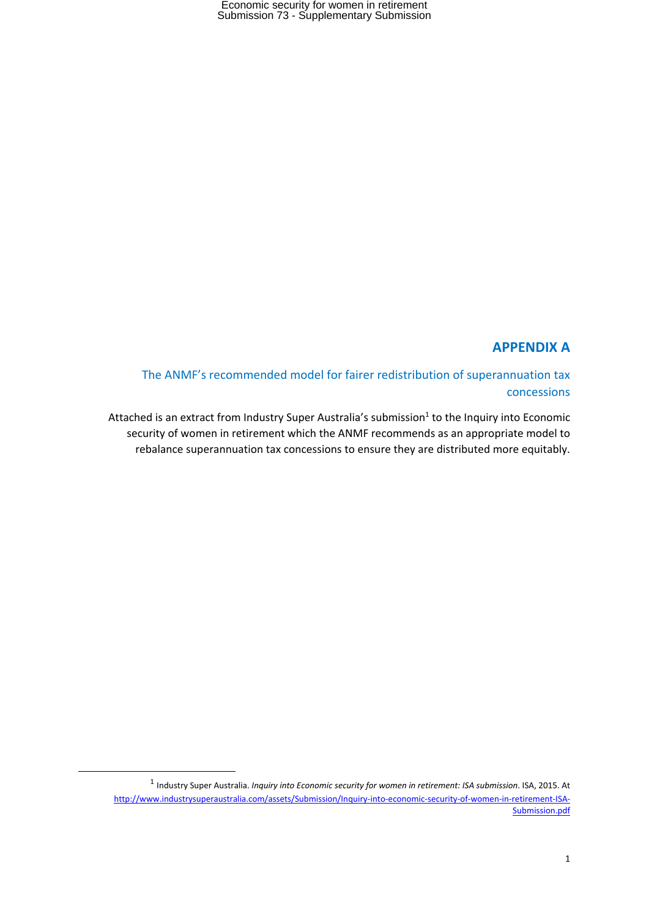## **APPENDIX A**

The ANMF's recommended model for fairer redistribution of superannuation tax concessions

Attached is an extract from Industry Super Australia's submission<sup>1</sup> to the Inquiry into Economic security of women in retirement which the ANMF recommends as an appropriate model to rebalance superannuation tax concessions to ensure they are distributed more equitably.

<sup>1</sup> Industry Super Australia. *Inquiry into Economic security for women in retirement: ISA submission*. ISA, 2015. At http://www.industrysuperaustralia.com/assets/Submission/Inquiry‐into‐economic‐security‐of‐women‐in‐retirement‐ISA‐ Submission.pdf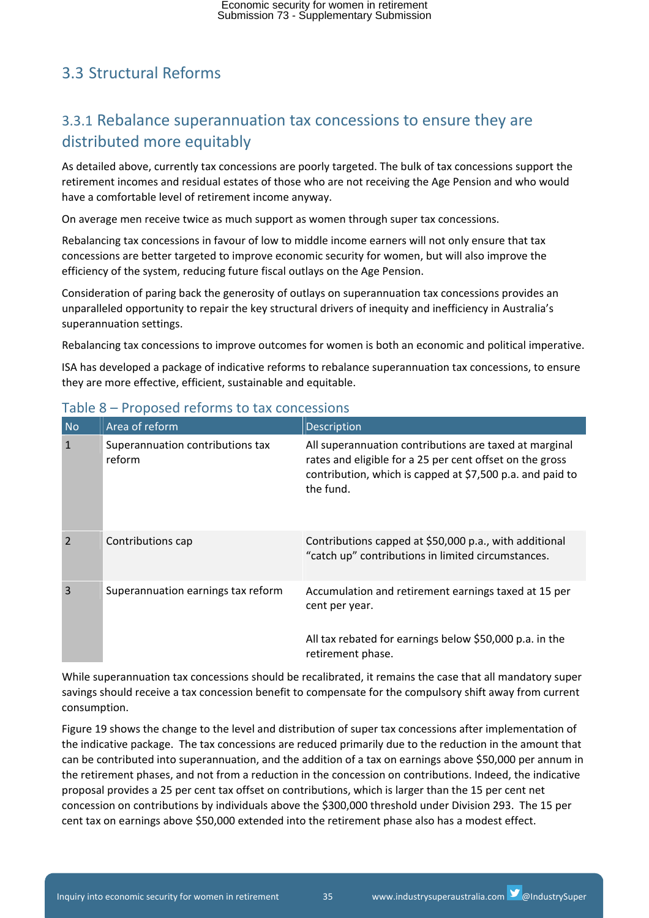# 3.3 Structural Reforms

# 3.3.1 Rebalance superannuation tax concessions to ensure they are distributed more equitably

As detailed above, currently tax concessions are poorly targeted. The bulk of tax concessions support the retirement incomes and residual estates of those who are not receiving the Age Pension and who would have a comfortable level of retirement income anyway.

On average men receive twice as much support as women through super tax concessions.

Rebalancing tax concessions in favour of low to middle income earners will not only ensure that tax concessions are better targeted to improve economic security for women, but will also improve the efficiency of the system, reducing future fiscal outlays on the Age Pension.

Consideration of paring back the generosity of outlays on superannuation tax concessions provides an unparalleled opportunity to repair the key structural drivers of inequity and inefficiency in Australia's superannuation settings.

Rebalancing tax concessions to improve outcomes for women is both an economic and political imperative.

ISA has developed a package of indicative reforms to rebalance superannuation tax concessions, to ensure they are more effective, efficient, sustainable and equitable.

| N <sub>o</sub> | Area of reform                             | Description                                                                                                                                                                                  |
|----------------|--------------------------------------------|----------------------------------------------------------------------------------------------------------------------------------------------------------------------------------------------|
| $\mathbf{1}$   | Superannuation contributions tax<br>reform | All superannuation contributions are taxed at marginal<br>rates and eligible for a 25 per cent offset on the gross<br>contribution, which is capped at \$7,500 p.a. and paid to<br>the fund. |
| $\overline{2}$ | Contributions cap                          | Contributions capped at \$50,000 p.a., with additional<br>"catch up" contributions in limited circumstances.                                                                                 |
| $\overline{3}$ | Superannuation earnings tax reform         | Accumulation and retirement earnings taxed at 15 per<br>cent per year.                                                                                                                       |
|                |                                            | All tax rebated for earnings below \$50,000 p.a. in the<br>retirement phase.                                                                                                                 |

## Table 8 – Proposed reforms to tax concessions

While superannuation tax concessions should be recalibrated, it remains the case that all mandatory super savings should receive a tax concession benefit to compensate for the compulsory shift away from current consumption.

Figure 19 shows the change to the level and distribution of super tax concessions after implementation of the indicative package. The tax concessions are reduced primarily due to the reduction in the amount that can be contributed into superannuation, and the addition of a tax on earnings above \$50,000 per annum in the retirement phases, and not from a reduction in the concession on contributions. Indeed, the indicative proposal provides a 25 per cent tax offset on contributions, which is larger than the 15 per cent net concession on contributions by individuals above the \$300,000 threshold under Division 293. The 15 per cent tax on earnings above \$50,000 extended into the retirement phase also has a modest effect.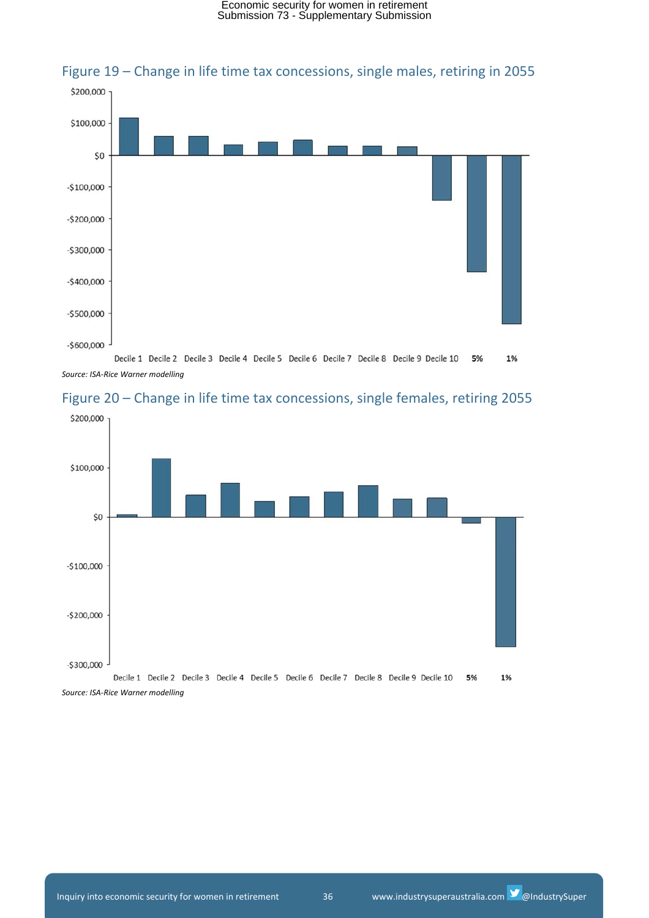

## Figure 19 – Change in life time tax concessions, single males, retiring in 2055

Decile 1 Decile 2 Decile 3 Decile 4 Decile 5 Decile 6 Decile 7 Decile 8 Decile 9 Decile 10 5% 1% *Source: ISA‐Rice Warner modelling*



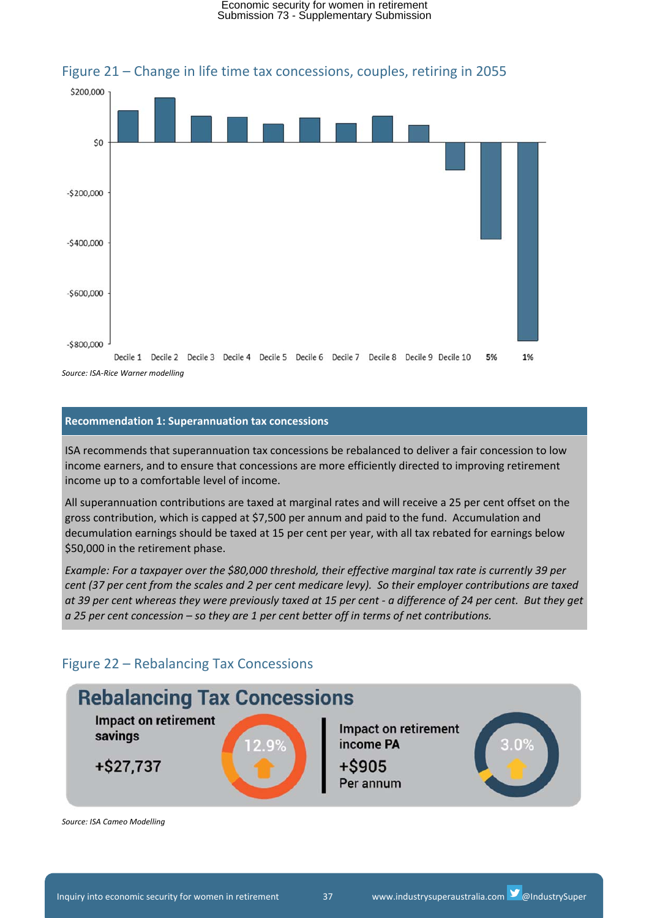

### Figure 21 – Change in life time tax concessions, couples, retiring in 2055

### **Recommendation 1: Superannuation tax concessions**

ISA recommends that superannuation tax concessions be rebalanced to deliver a fair concession to low income earners, and to ensure that concessions are more efficiently directed to improving retirement income up to a comfortable level of income.

All superannuation contributions are taxed at marginal rates and will receive a 25 per cent offset on the gross contribution, which is capped at \$7,500 per annum and paid to the fund. Accumulation and decumulation earnings should be taxed at 15 per cent per year, with all tax rebated for earnings below \$50,000 in the retirement phase.

*Example: For a taxpayer over the \$80,000 threshold, their effective marginal tax rate is currently 39 per* cent (37 per cent from the scales and 2 per cent medicare levy). So their employer contributions are taxed at 39 per cent whereas they were previously taxed at 15 per cent - a difference of 24 per cent. But they get *a 25 per cent concession – so they are 1 per cent better off in terms of net contributions.*

## Figure 22 – Rebalancing Tax Concessions



*Source: ISA Cameo Modelling*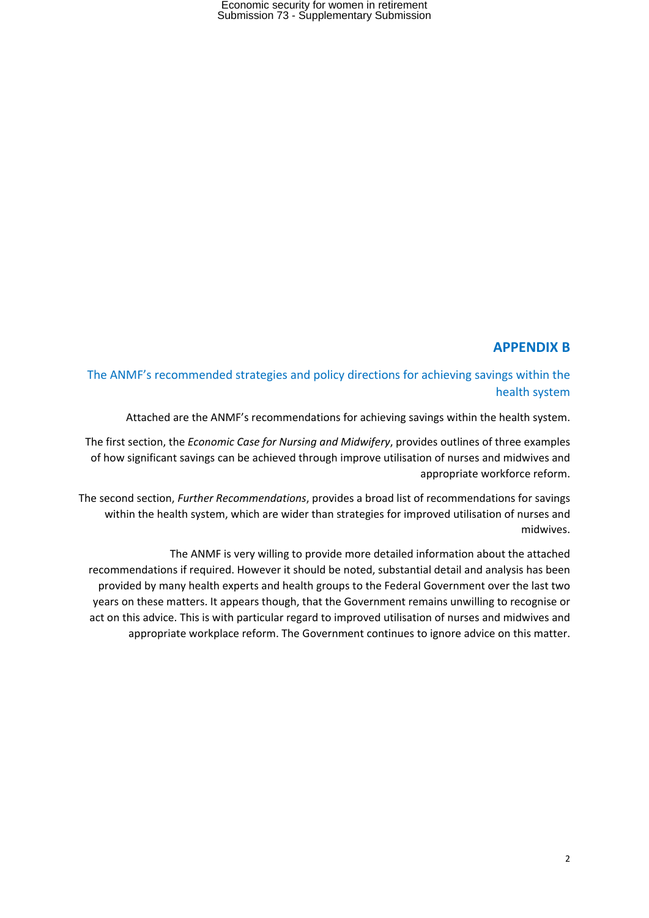## **APPENDIX B**

## The ANMF's recommended strategies and policy directions for achieving savings within the health system

Attached are the ANMF's recommendations for achieving savings within the health system.

The first section, the *Economic Case for Nursing and Midwifery*, provides outlines of three examples of how significant savings can be achieved through improve utilisation of nurses and midwives and appropriate workforce reform.

The second section, *Further Recommendations*, provides a broad list of recommendations for savings within the health system, which are wider than strategies for improved utilisation of nurses and midwives.

The ANMF is very willing to provide more detailed information about the attached recommendations if required. However it should be noted, substantial detail and analysis has been provided by many health experts and health groups to the Federal Government over the last two years on these matters. It appears though, that the Government remains unwilling to recognise or act on this advice. This is with particular regard to improved utilisation of nurses and midwives and appropriate workplace reform. The Government continues to ignore advice on this matter.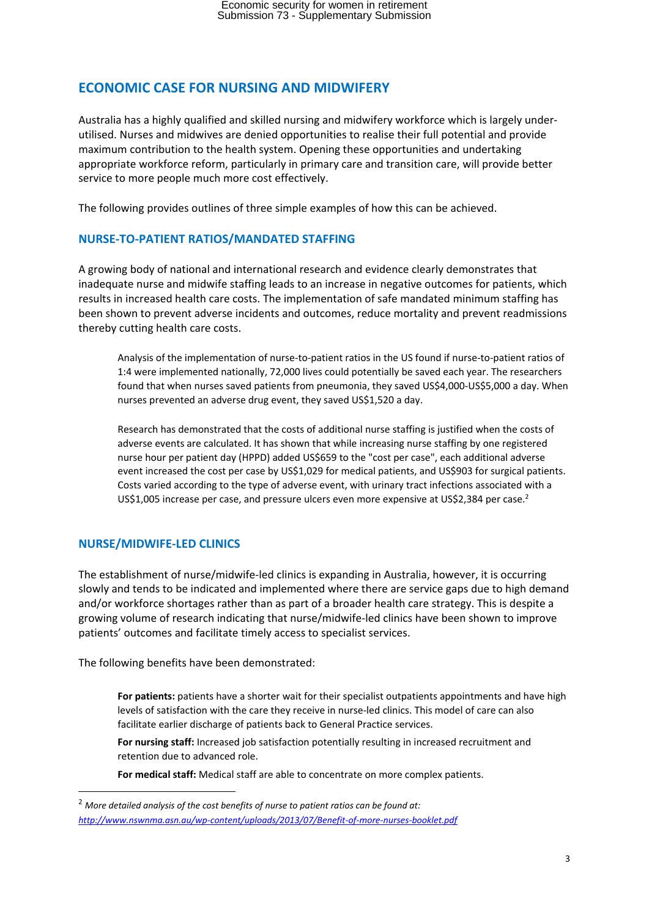## **ECONOMIC CASE FOR NURSING AND MIDWIFERY**

Australia has a highly qualified and skilled nursing and midwifery workforce which is largely under‐ utilised. Nurses and midwives are denied opportunities to realise their full potential and provide maximum contribution to the health system. Opening these opportunities and undertaking appropriate workforce reform, particularly in primary care and transition care, will provide better service to more people much more cost effectively.

The following provides outlines of three simple examples of how this can be achieved.

## **NURSE‐TO‐PATIENT RATIOS/MANDATED STAFFING**

A growing body of national and international research and evidence clearly demonstrates that inadequate nurse and midwife staffing leads to an increase in negative outcomes for patients, which results in increased health care costs. The implementation of safe mandated minimum staffing has been shown to prevent adverse incidents and outcomes, reduce mortality and prevent readmissions thereby cutting health care costs.

Analysis of the implementation of nurse‐to‐patient ratios in the US found if nurse‐to‐patient ratios of 1:4 were implemented nationally, 72,000 lives could potentially be saved each year. The researchers found that when nurses saved patients from pneumonia, they saved US\$4,000‐US\$5,000 a day. When nurses prevented an adverse drug event, they saved US\$1,520 a day.

Research has demonstrated that the costs of additional nurse staffing is justified when the costs of adverse events are calculated. It has shown that while increasing nurse staffing by one registered nurse hour per patient day (HPPD) added US\$659 to the "cost per case", each additional adverse event increased the cost per case by US\$1,029 for medical patients, and US\$903 for surgical patients. Costs varied according to the type of adverse event, with urinary tract infections associated with a US\$1,005 increase per case, and pressure ulcers even more expensive at US\$2,384 per case.<sup>2</sup>

## **NURSE/MIDWIFE‐LED CLINICS**

The establishment of nurse/midwife‐led clinics is expanding in Australia, however, it is occurring slowly and tends to be indicated and implemented where there are service gaps due to high demand and/or workforce shortages rather than as part of a broader health care strategy. This is despite a growing volume of research indicating that nurse/midwife‐led clinics have been shown to improve patients' outcomes and facilitate timely access to specialist services.

The following benefits have been demonstrated:

**For patients:** patients have a shorter wait for their specialist outpatients appointments and have high levels of satisfaction with the care they receive in nurse‐led clinics. This model of care can also facilitate earlier discharge of patients back to General Practice services.

**For nursing staff:** Increased job satisfaction potentially resulting in increased recruitment and retention due to advanced role.

**For medical staff:** Medical staff are able to concentrate on more complex patients.

<sup>2</sup> *More detailed analysis of the cost benefits of nurse to patient ratios can be found at: http://www.nswnma.asn.au/wp‐content/uploads/2013/07/Benefit‐of‐more‐nurses‐booklet.pdf*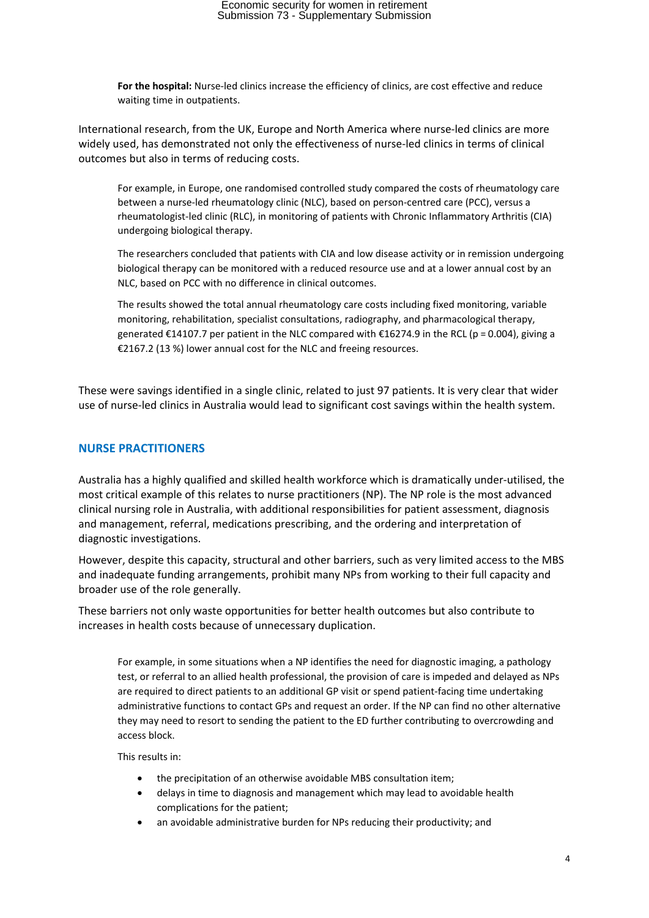**For the hospital:** Nurse‐led clinics increase the efficiency of clinics, are cost effective and reduce waiting time in outpatients.

International research, from the UK, Europe and North America where nurse-led clinics are more widely used, has demonstrated not only the effectiveness of nurse-led clinics in terms of clinical outcomes but also in terms of reducing costs.

For example, in Europe, one randomised controlled study compared the costs of rheumatology care between a nurse‐led rheumatology clinic (NLC), based on person‐centred care (PCC), versus a rheumatologist‐led clinic (RLC), in monitoring of patients with Chronic Inflammatory Arthritis (CIA) undergoing biological therapy.

The researchers concluded that patients with CIA and low disease activity or in remission undergoing biological therapy can be monitored with a reduced resource use and at a lower annual cost by an NLC, based on PCC with no difference in clinical outcomes.

The results showed the total annual rheumatology care costs including fixed monitoring, variable monitoring, rehabilitation, specialist consultations, radiography, and pharmacological therapy, generated €14107.7 per patient in the NLC compared with €16274.9 in the RCL (p = 0.004), giving a €2167.2 (13 %) lower annual cost for the NLC and freeing resources.

These were savings identified in a single clinic, related to just 97 patients. It is very clear that wider use of nurse‐led clinics in Australia would lead to significant cost savings within the health system.

### **NURSE PRACTITIONERS**

Australia has a highly qualified and skilled health workforce which is dramatically under‐utilised, the most critical example of this relates to nurse practitioners (NP). The NP role is the most advanced clinical nursing role in Australia, with additional responsibilities for patient assessment, diagnosis and management, referral, medications prescribing, and the ordering and interpretation of diagnostic investigations.

However, despite this capacity, structural and other barriers, such as very limited access to the MBS and inadequate funding arrangements, prohibit many NPs from working to their full capacity and broader use of the role generally.

These barriers not only waste opportunities for better health outcomes but also contribute to increases in health costs because of unnecessary duplication.

For example, in some situations when a NP identifies the need for diagnostic imaging, a pathology test, or referral to an allied health professional, the provision of care is impeded and delayed as NPs are required to direct patients to an additional GP visit or spend patient-facing time undertaking administrative functions to contact GPs and request an order. If the NP can find no other alternative they may need to resort to sending the patient to the ED further contributing to overcrowding and access block.

This results in:

- the precipitation of an otherwise avoidable MBS consultation item;
- delays in time to diagnosis and management which may lead to avoidable health complications for the patient;
- an avoidable administrative burden for NPs reducing their productivity; and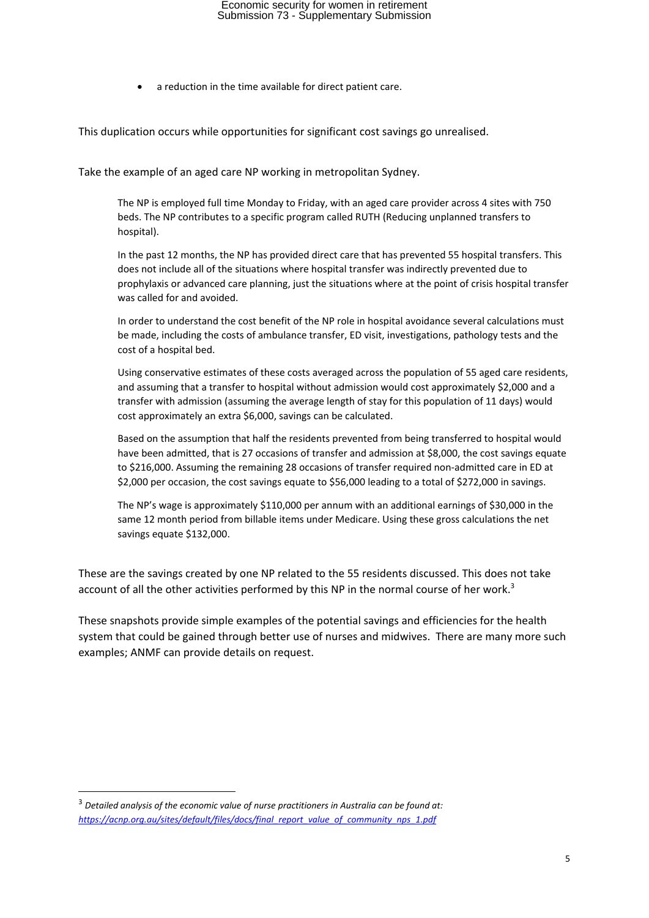a reduction in the time available for direct patient care.

This duplication occurs while opportunities for significant cost savings go unrealised.

Take the example of an aged care NP working in metropolitan Sydney.

The NP is employed full time Monday to Friday, with an aged care provider across 4 sites with 750 beds. The NP contributes to a specific program called RUTH (Reducing unplanned transfers to hospital).

In the past 12 months, the NP has provided direct care that has prevented 55 hospital transfers. This does not include all of the situations where hospital transfer was indirectly prevented due to prophylaxis or advanced care planning, just the situations where at the point of crisis hospital transfer was called for and avoided.

In order to understand the cost benefit of the NP role in hospital avoidance several calculations must be made, including the costs of ambulance transfer, ED visit, investigations, pathology tests and the cost of a hospital bed.

Using conservative estimates of these costs averaged across the population of 55 aged care residents, and assuming that a transfer to hospital without admission would cost approximately \$2,000 and a transfer with admission (assuming the average length of stay for this population of 11 days) would cost approximately an extra \$6,000, savings can be calculated.

Based on the assumption that half the residents prevented from being transferred to hospital would have been admitted, that is 27 occasions of transfer and admission at \$8,000, the cost savings equate to \$216,000. Assuming the remaining 28 occasions of transfer required non-admitted care in ED at \$2,000 per occasion, the cost savings equate to \$56,000 leading to a total of \$272,000 in savings.

The NP's wage is approximately \$110,000 per annum with an additional earnings of \$30,000 in the same 12 month period from billable items under Medicare. Using these gross calculations the net savings equate \$132,000.

These are the savings created by one NP related to the 55 residents discussed. This does not take account of all the other activities performed by this NP in the normal course of her work.<sup>3</sup>

These snapshots provide simple examples of the potential savings and efficiencies for the health system that could be gained through better use of nurses and midwives. There are many more such examples; ANMF can provide details on request.

<sup>3</sup> *Detailed analysis of the economic value of nurse practitioners in Australia can be found at: https://acnp.org.au/sites/default/files/docs/final\_report\_value\_of\_community\_nps\_1.pdf*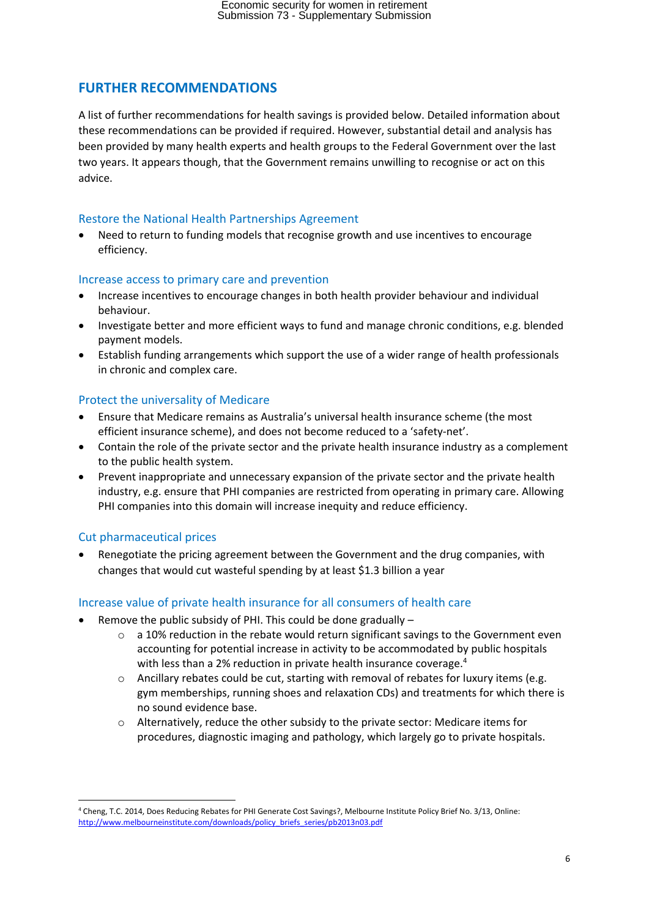## **FURTHER RECOMMENDATIONS**

A list of further recommendations for health savings is provided below. Detailed information about these recommendations can be provided if required. However, substantial detail and analysis has been provided by many health experts and health groups to the Federal Government over the last two years. It appears though, that the Government remains unwilling to recognise or act on this advice.

## Restore the National Health Partnerships Agreement

 Need to return to funding models that recognise growth and use incentives to encourage efficiency.

## Increase access to primary care and prevention

- Increase incentives to encourage changes in both health provider behaviour and individual behaviour.
- Investigate better and more efficient ways to fund and manage chronic conditions, e.g. blended payment models.
- Establish funding arrangements which support the use of a wider range of health professionals in chronic and complex care.

## Protect the universality of Medicare

- Ensure that Medicare remains as Australia's universal health insurance scheme (the most efficient insurance scheme), and does not become reduced to a 'safety‐net'.
- Contain the role of the private sector and the private health insurance industry as a complement to the public health system.
- Prevent inappropriate and unnecessary expansion of the private sector and the private health industry, e.g. ensure that PHI companies are restricted from operating in primary care. Allowing PHI companies into this domain will increase inequity and reduce efficiency.

## Cut pharmaceutical prices

 Renegotiate the pricing agreement between the Government and the drug companies, with changes that would cut wasteful spending by at least \$1.3 billion a year

## Increase value of private health insurance for all consumers of health care

- Remove the public subsidy of PHI. This could be done gradually
	- $\circ$  a 10% reduction in the rebate would return significant savings to the Government even accounting for potential increase in activity to be accommodated by public hospitals with less than a 2% reduction in private health insurance coverage.<sup>4</sup>
	- $\circ$  Ancillary rebates could be cut, starting with removal of rebates for luxury items (e.g. gym memberships, running shoes and relaxation CDs) and treatments for which there is no sound evidence base.
	- o Alternatively, reduce the other subsidy to the private sector: Medicare items for procedures, diagnostic imaging and pathology, which largely go to private hospitals.

 <sup>4</sup> Cheng, T.C. 2014, Does Reducing Rebates for PHI Generate Cost Savings?, Melbourne Institute Policy Brief No. 3/13, Online: http://www.melbourneinstitute.com/downloads/policy\_briefs\_series/pb2013n03.pdf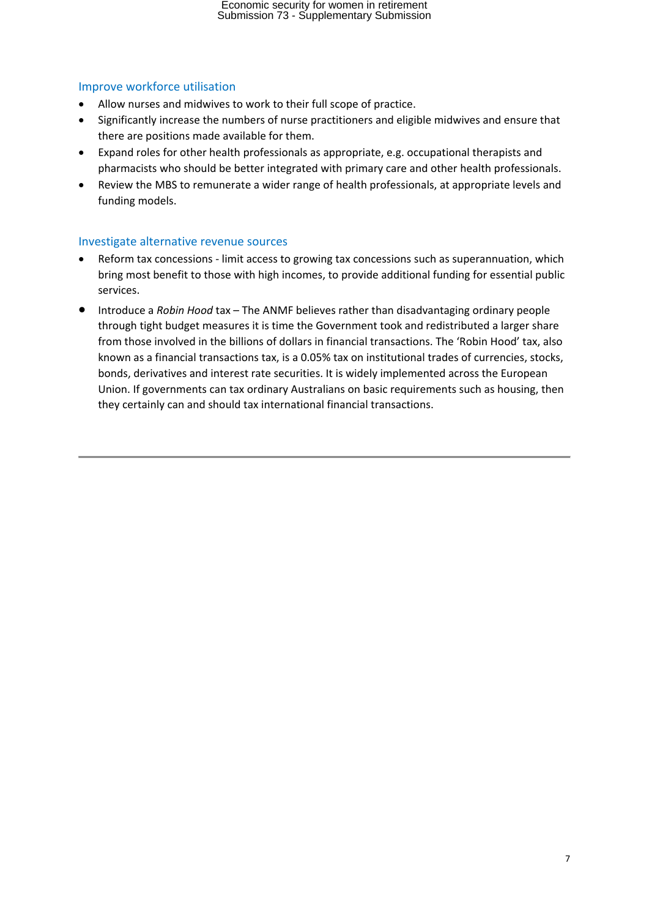## Improve workforce utilisation

- Allow nurses and midwives to work to their full scope of practice.
- Significantly increase the numbers of nurse practitioners and eligible midwives and ensure that there are positions made available for them.
- Expand roles for other health professionals as appropriate, e.g. occupational therapists and pharmacists who should be better integrated with primary care and other health professionals.
- Review the MBS to remunerate a wider range of health professionals, at appropriate levels and funding models.

## Investigate alternative revenue sources

- Reform tax concessions ‐ limit access to growing tax concessions such as superannuation, which bring most benefit to those with high incomes, to provide additional funding for essential public services.
- Introduce a *Robin Hood* tax The ANMF believes rather than disadvantaging ordinary people through tight budget measures it is time the Government took and redistributed a larger share from those involved in the billions of dollars in financial transactions. The 'Robin Hood' tax, also known as a financial transactions tax, is a 0.05% tax on institutional trades of currencies, stocks, bonds, derivatives and interest rate securities. It is widely implemented across the European Union. If governments can tax ordinary Australians on basic requirements such as housing, then they certainly can and should tax international financial transactions.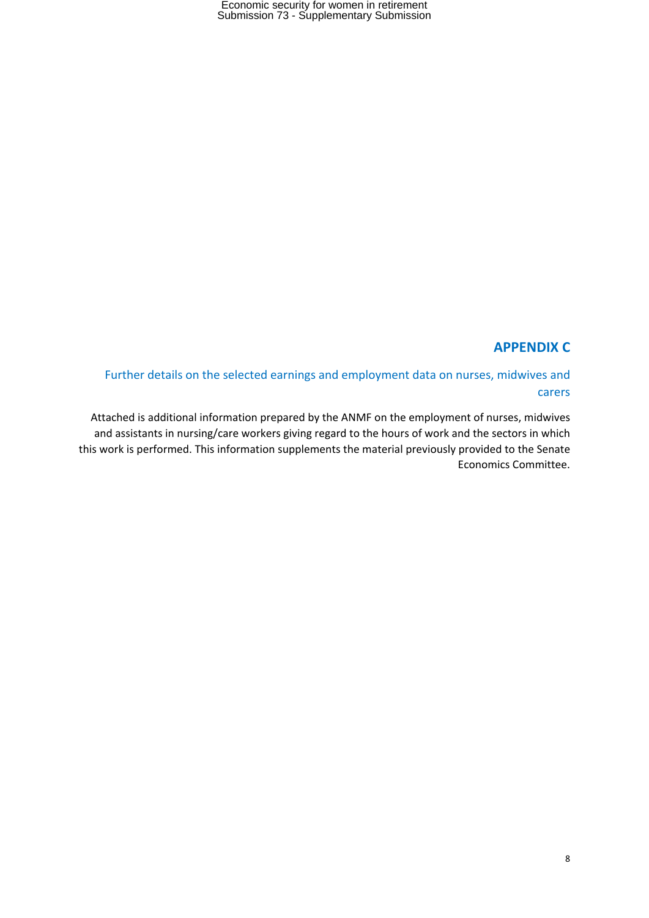## **APPENDIX C**

Further details on the selected earnings and employment data on nurses, midwives and carers

Attached is additional information prepared by the ANMF on the employment of nurses, midwives and assistants in nursing/care workers giving regard to the hours of work and the sectors in which this work is performed. This information supplements the material previously provided to the Senate Economics Committee.